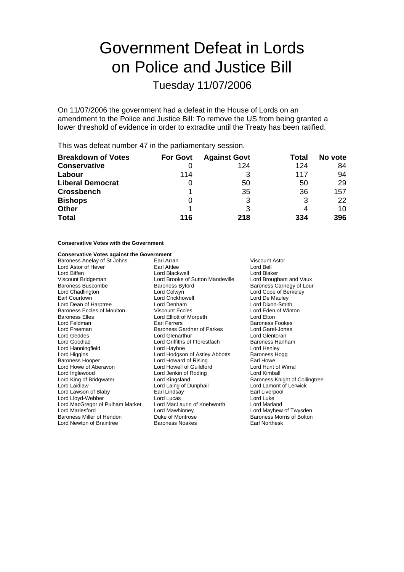# Government Defeat in Lords on Police and Justice Bill

Tuesday 11/07/2006

On 11/07/2006 the government had a defeat in the House of Lords on an amendment to the Police and Justice Bill: To remove the US from being granted a lower threshold of evidence in order to extradite until the Treaty has been ratified.

This was defeat number 47 in the parliamentary session.

| <b>Breakdown of Votes</b> | <b>For Govt</b> | <b>Against Govt</b> | Total | No vote |
|---------------------------|-----------------|---------------------|-------|---------|
| <b>Conservative</b>       |                 | 124                 | 124   | 84      |
| Labour                    | 114             |                     | 117   | 94      |
| <b>Liberal Democrat</b>   | O               | 50                  | 50    | 29      |
| <b>Crossbench</b>         |                 | 35                  | 36    | 157     |
| <b>Bishops</b>            | O               | 3                   | 3     | 22      |
| <b>Other</b>              |                 | 3                   |       | 10      |
| <b>Total</b>              | 116             | 218                 | 334   | 396     |

# **Conservative Votes with the Government**

## **Conservative Votes against the Government**

| Baroness Anelay of St Johns       | Earl Arran                        | <b>Viscount Astor</b>          |
|-----------------------------------|-----------------------------------|--------------------------------|
| Lord Astor of Hever               | Earl Attlee                       | Lord Bell                      |
| Lord Biffen                       | Lord Blackwell                    | Lord Blaker                    |
| Viscount Bridgeman                | Lord Brooke of Sutton Mandeville  | Lord Brougham and Vaux         |
| <b>Baroness Buscombe</b>          | <b>Baroness Byford</b>            | Baroness Carnegy of Lour       |
| Lord Chadlington                  | Lord Colwyn                       | Lord Cope of Berkeley          |
| Earl Courtown                     | Lord Crickhowell                  | Lord De Mauley                 |
| Lord Dean of Harptree             | Lord Denham                       | Lord Dixon-Smith               |
| <b>Baroness Eccles of Moulton</b> | <b>Viscount Eccles</b>            | Lord Eden of Winton            |
| <b>Baroness Elles</b>             | Lord Elliott of Morpeth           | Lord Elton                     |
| Lord Feldman                      | <b>Earl Ferrers</b>               | <b>Baroness Fookes</b>         |
| Lord Freeman                      | <b>Baroness Gardner of Parkes</b> | Lord Garel-Jones               |
| Lord Geddes                       | Lord Glenarthur                   | Lord Glentoran                 |
| Lord Goodlad                      | Lord Griffiths of Fforestfach     | Baroness Hanham                |
| Lord Hanningfield                 | Lord Hayhoe                       | Lord Henley                    |
| Lord Higgins                      | Lord Hodgson of Astley Abbotts    | Baroness Hogg                  |
| <b>Baroness Hooper</b>            | Lord Howard of Rising             | Earl Howe                      |
| Lord Howe of Aberavon             | Lord Howell of Guildford          | Lord Hunt of Wirral            |
| Lord Inglewood                    | Lord Jenkin of Roding             | Lord Kimball                   |
| Lord King of Bridgwater           | Lord Kingsland                    | Baroness Knight of Collingtree |
| Lord Laidlaw                      | Lord Laing of Dunphail            | Lord Lamont of Lerwick         |
| Lord Lawson of Blaby              | Earl Lindsay                      | Earl Liverpool                 |
| Lord Lloyd-Webber                 | Lord Lucas                        | Lord Luke                      |
| Lord MacGregor of Pulham Market   | Lord MacLaurin of Knebworth       | Lord Marland                   |
| Lord Marlesford                   | Lord Mawhinney                    | Lord Mayhew of Twysden         |
| Baroness Miller of Hendon         | Duke of Montrose                  | Baroness Morris of Bolton      |
| Lord Newton of Braintree          | <b>Baroness Noakes</b>            | Earl Northesk                  |
|                                   |                                   |                                |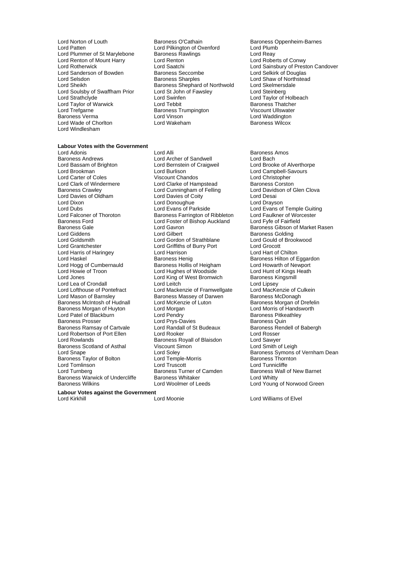- Lord Norton of Louth **Baroness O'Cathain** Baroness Oppenheim-Barnes<br>
Lord Patten **Baroness Contract Contract Contract Contract Contract Contract Contract Contract Contract Contract Contract Contract Contract Contract Contr** Lord Plummer of St Marylebone Baroness Rawlings The Marylet Lord Reay<br>
Lord Renton of Mount Harry Lord Renton Lord Renton Lord Roberts of Conwy Lord Renton of Mount Harry Lord Renton<br>
Lord Rotherwick Congress Lord Saatchi Lord Sanderson of Bowden Baroness Seccomb<br>
Lord Selsdon Baroness Sharples Lord Selsdon Baroness Sharples Lord Shaw of Northstead<br>Lord Shaw of Northstead<br>Lord Sheikh Baroness Shephard of Northwold Lord Skelmersdale Lord Soulsby of Swaffham Prior Lord St John<br>Lord Strathclyde Lord Swinfen Lord Taylor of Warwick Lord Tebbit Baroness Thatcher Lord Trefgarne **Baroness Trumpington**<br>Baroness Verma **Baroness** Lord Vinson Lord Wade of Chorlton Lord Windlesham
	- Lord Pilkington of Oxenford Lord Plumb<br>Baroness Rawlings Lord Reay Baroness Shephard of Northwold<br>Lord St John of Fawsley Lord Strathclyde Lord Steinberg<br>
	Lord Strathclyde Lord Taylor of Holbeach<br>
	Lord Tebbit Baroness Thatcher Baroness Verma Lord Vinson Lord Waddington

# **Labour Votes with the Government**

Baroness Andrews **Communist Container Container Archer of Sandwell** Lord Bach<br>
Lord Bassam of Brighton **Lord Bernet Lord Craigweil** Lord Brooke of Alverthorpe Lord Brookman **Lord Burlison** Lord Burlison Lord Campbell-Savours<br>
Lord Carter of Coles **Lord Collection** Viscount Chandos Lord Christopher Lord Carter of Coles Viscount Chandos Lord Christopher Lord Clark of Windermere Lord Clarke of Hampstead Baroness Corston<br>Baroness Crawley Lord Cunningham of Felling Lord Davidson of Glen Clova Baroness Crawley **Lord Cunningham of Felling Cloval Cloval Cord Canningham of Felling** Lord Davids<br>
Lord Davies of Cloval Cord Dessai Cord Dessai Cord Dessai Lord Davies of Oldham Lord Davies of Coity Lord Desai Lord Dixon<br>
Lord Dubs<br>
Lord Evans of Parkside Lord Falconer of Thoroton **Falconer State Baroness Farrington of Ribbleton** Lord Faulkner of Worcester Baroness Ford<br>Baroness Ford **Ford Foster of Bishop Auckland** Lord Fvfe of Fairfield Baroness Ford **Exercise Exercise Contract Contract Lord Foster of Bishop Auckland Baroness Gale**<br>
Lord Gavron Lord Goldsmith **Lord Gordon of Strathblane** Lord Gould of Brook Lord Gould of Brook Lord Gould of Brook Lord Green Lord Green Lord Green Lord Green Lord Green Lord Green Lord Green Lord Green Lord Green Lord Green Lord Gre Lord Harris of Haringey<br>Lord Haskel Chilton Baroness Henig Lord Haskel **Example 20 Exercise**<br>
Baroness Henig Baroness Hollis of Heigham **Baroness Hollis of Heigham** Lord Howarth of Newport Lord Hogg of Cumbernauld **Baroness Hollis of Heigham** Lord Howarth of Newport<br>Lord Howie of Troon Lord Huahes of Woodside Lord Hunt of Kings Heath Lord Howie of Troon Lord Hughes of Woodside Lord Hunt of Kings Lord Hunt of Kings Lord Hunt of Kings Lord Kings Lord Kings Heather Lord Kings Lord Kings Lord Kings Lord Kings Lord Kings Lord Kings Lord Kings Lord Kings Lor Lord Lea of Crondall **Lord Lord Leitch** Lord Lease Lord Lipsey<br>
Lord Lord Lord Mackenzie of Framwellgate Lord Mackenzie of Culkein Lord Lofthouse of Pontefract Lord Mackenzie of Framwellgate Lord MacKenzie of Culter<br>Lord Mason of Barnsley Baroness Massey of Darwen Baroness McDonagh Lord Mason of Barnsley<br>
Baroness McIntosh of Hudnall Lord McKenzie of Luton Baroness Morgan of Huyton Lord Morgan Cord Morgan Norris of Handsworth Cord Morris of Handsworth Cord Pendry<br>Cord Patel of Blackburn Lord Pendry Cord Pendry Cord Baroness Pitkeathley Lord Patel of Blackburn **Lord Pendry Communist Communist Communist** Baroness Pitke<br>Baroness Prosser **Baroness Cuin**<br>Lord Prys-Davies **Baroness Quin** Baroness Ramsay of Cartvale Lord Randall of St Budeaux Baroness Rendell of St Budeaux Baroness Rendel of Baroness Re Lord Robertson of Port Ellen Lord Rooker Lord Rosser Baroness Scotland of Asthal Viscount Si<br>
Lord Snape Cord Coley Baroness Taylor of Bolton Lord Tomlinson Lord Truscott Lord Tunnicliffe Baroness Warwick of Undercliffe Baroness Whitaker<br>Baroness Wilkins Lord Woolmer of Leeds

Lord Adonis<br>
Baroness Andrews

Lord Archer of Sandwell

Lord Bach<br>
Lord Archer of Sandwell

Lord Bach<br>
Lord Bach Lord Bernstein of Craigweil Lord Gilbert<br>
Lord Gibert Cord Gordon of Strathblane<br>
Lord Gordon of Strathblane<br>
Lord Gould of Brookwood Lord Griffiths of Burry Port Lord Grocott<br>
Lord Harrison Lord Hart of Chilton Lord King of West Bromwich Baroness Kingsmille Baroness Kings<br>Cord Leitch Baroness (Lord Lipsey Lord McKenzie of Luton **Baroness Morgan of Drefelin**<br>
Lord Morgan **Contains Lord Morris of Handsworth** Lord Prys-Davies<br>
Lord Randall of St Budeaux<br>
Baroness Rendell of Babergh Express Royall of Blaisdon<br>
Lord Sawyer<br>
Viscount Simon<br>
Lord Smith of Leigh Baroness Turner of Camden Baroness Wall of New Barnet<br>Baroness Whitaker Barnet Lord Whitty

Lord Saatchi Lord Sainsbury of Preston Candover<br>
Baroness Seccombe Cord Selkirk of Douglas

Lord Eva<sub>n</sub>ce.<br>Lord Evans of Temple Guiting Baroness Gale **Baroness Gale** Lord Gavron **Baroness Gibson of Market Rasen**<br>
Lord Giddens **Baroness Golding**<br>
Lord Giddens **Baroness Golding** Lord Soley **Baroness Symons of Vernham Dean**<br>
Lord Temple-Morris **Conney Symoness Thornton Baroness Wilkins**<br>Lord Young of Norwood Green

**Labour Votes against the Government**

Lord Williams of Elvel